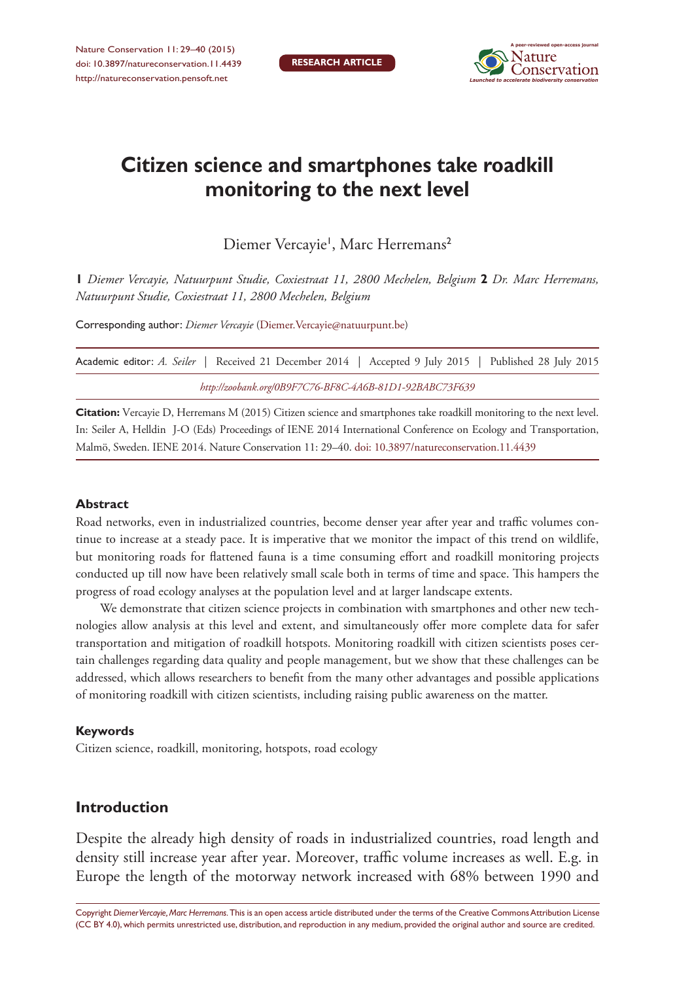

# **Citizen science and smartphones take roadkill monitoring to the next level**

Diemer Vercayie<sup>1</sup>, Marc Herremans<sup>2</sup>

**1** *Diemer Vercayie, Natuurpunt Studie, Coxiestraat 11, 2800 Mechelen, Belgium* **2** *Dr. Marc Herremans, Natuurpunt Studie, Coxiestraat 11, 2800 Mechelen, Belgium*

Corresponding author: *Diemer Vercayie* [\(Diemer.Vercayie@natuurpunt.be\)](mailto:Diemer.Vercayie@natuurpunt.be)

|                                                         |  |  |  | Academic editor: A. Seiler   Received 21 December 2014   Accepted 9 July 2015   Published 28 July 2015 |  |  |  |  |
|---------------------------------------------------------|--|--|--|--------------------------------------------------------------------------------------------------------|--|--|--|--|
| http://zoobank.org/0B9F7C76-BF8C-4A6B-81D1-92BABC73F639 |  |  |  |                                                                                                        |  |  |  |  |

**Citation:** Vercayie D, Herremans M (2015) Citizen science and smartphones take roadkill monitoring to the next level. In: Seiler A, Helldin J-O (Eds) Proceedings of IENE 2014 International Conference on Ecology and Transportation, Malmö, Sweden. IENE 2014. Nature Conservation 11: 29–40. [doi: 10.3897/natureconservation.11.4439](http://dx.doi.org/10.3897/natureconservation.11.4439)

#### **Abstract**

Road networks, even in industrialized countries, become denser year after year and traffic volumes continue to increase at a steady pace. It is imperative that we monitor the impact of this trend on wildlife, but monitoring roads for flattened fauna is a time consuming effort and roadkill monitoring projects conducted up till now have been relatively small scale both in terms of time and space. This hampers the progress of road ecology analyses at the population level and at larger landscape extents.

We demonstrate that citizen science projects in combination with smartphones and other new technologies allow analysis at this level and extent, and simultaneously offer more complete data for safer transportation and mitigation of roadkill hotspots. Monitoring roadkill with citizen scientists poses certain challenges regarding data quality and people management, but we show that these challenges can be addressed, which allows researchers to benefit from the many other advantages and possible applications of monitoring roadkill with citizen scientists, including raising public awareness on the matter.

#### **Keywords**

Citizen science, roadkill, monitoring, hotspots, road ecology

### **Introduction**

Despite the already high density of roads in industrialized countries, road length and density still increase year after year. Moreover, traffic volume increases as well. E.g. in Europe the length of the motorway network increased with 68% between 1990 and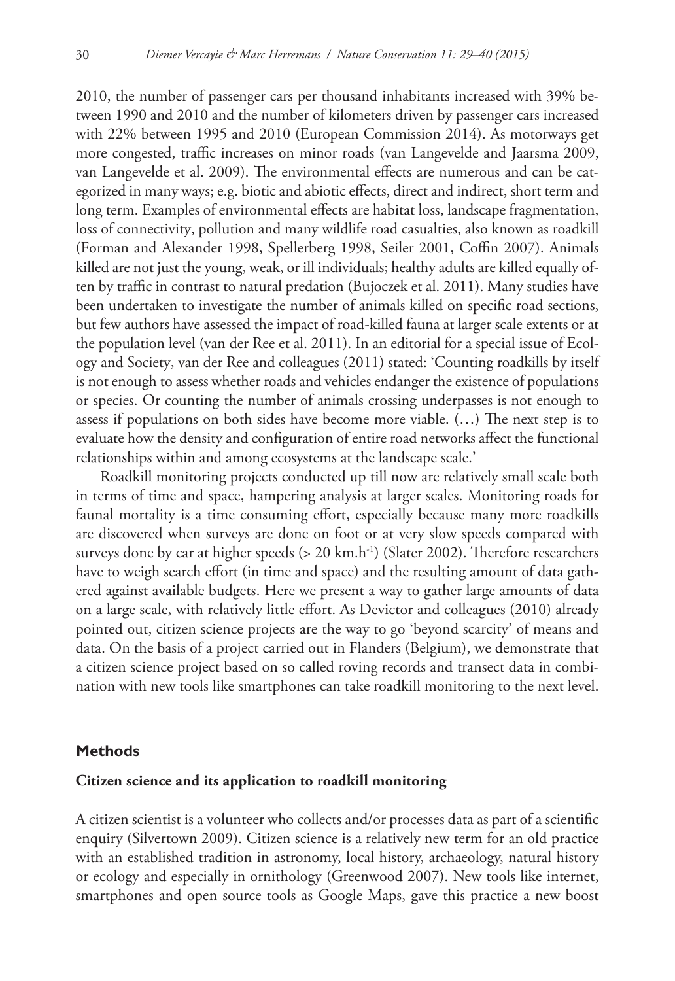2010, the number of passenger cars per thousand inhabitants increased with 39% between 1990 and 2010 and the number of kilometers driven by passenger cars increased with 22% between 1995 and 2010 (European Commission 2014). As motorways get more congested, traffic increases on minor roads (van Langevelde and Jaarsma 2009, van Langevelde et al. 2009). The environmental effects are numerous and can be categorized in many ways; e.g. biotic and abiotic effects, direct and indirect, short term and long term. Examples of environmental effects are habitat loss, landscape fragmentation, loss of connectivity, pollution and many wildlife road casualties, also known as roadkill (Forman and Alexander 1998, Spellerberg 1998, Seiler 2001, Coffin 2007). Animals killed are not just the young, weak, or ill individuals; healthy adults are killed equally often by traffic in contrast to natural predation (Bujoczek et al. 2011). Many studies have been undertaken to investigate the number of animals killed on specific road sections, but few authors have assessed the impact of road-killed fauna at larger scale extents or at the population level (van der Ree et al. 2011). In an editorial for a special issue of Ecology and Society, van der Ree and colleagues (2011) stated: 'Counting roadkills by itself is not enough to assess whether roads and vehicles endanger the existence of populations or species. Or counting the number of animals crossing underpasses is not enough to assess if populations on both sides have become more viable. (…) The next step is to evaluate how the density and configuration of entire road networks affect the functional relationships within and among ecosystems at the landscape scale.'

Roadkill monitoring projects conducted up till now are relatively small scale both in terms of time and space, hampering analysis at larger scales. Monitoring roads for faunal mortality is a time consuming effort, especially because many more roadkills are discovered when surveys are done on foot or at very slow speeds compared with surveys done by car at higher speeds (> 20 km.h<sup>-1</sup>) (Slater 2002). Therefore researchers have to weigh search effort (in time and space) and the resulting amount of data gathered against available budgets. Here we present a way to gather large amounts of data on a large scale, with relatively little effort. As Devictor and colleagues (2010) already pointed out, citizen science projects are the way to go 'beyond scarcity' of means and data. On the basis of a project carried out in Flanders (Belgium), we demonstrate that a citizen science project based on so called roving records and transect data in combination with new tools like smartphones can take roadkill monitoring to the next level.

#### **Methods**

#### **Citizen science and its application to roadkill monitoring**

A citizen scientist is a volunteer who collects and/or processes data as part of a scientific enquiry (Silvertown 2009). Citizen science is a relatively new term for an old practice with an established tradition in astronomy, local history, archaeology, natural history or ecology and especially in ornithology (Greenwood 2007). New tools like internet, smartphones and open source tools as Google Maps, gave this practice a new boost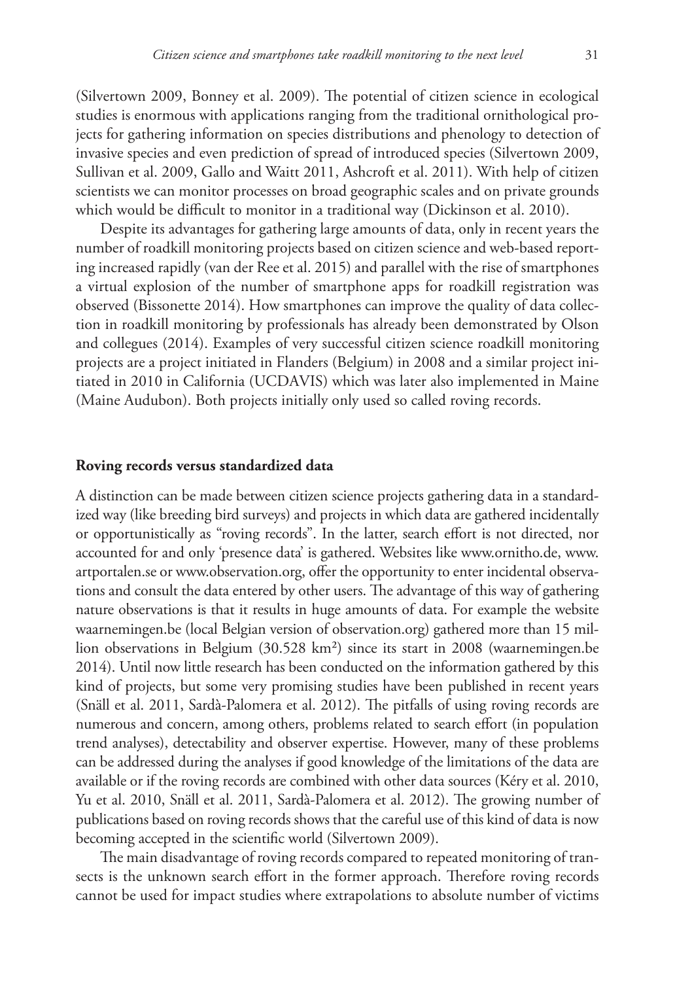(Silvertown 2009, Bonney et al. 2009). The potential of citizen science in ecological studies is enormous with applications ranging from the traditional ornithological projects for gathering information on species distributions and phenology to detection of invasive species and even prediction of spread of introduced species (Silvertown 2009, Sullivan et al. 2009, Gallo and Waitt 2011, Ashcroft et al. 2011). With help of citizen scientists we can monitor processes on broad geographic scales and on private grounds which would be difficult to monitor in a traditional way (Dickinson et al. 2010).

Despite its advantages for gathering large amounts of data, only in recent years the number of roadkill monitoring projects based on citizen science and web-based reporting increased rapidly (van der Ree et al. 2015) and parallel with the rise of smartphones a virtual explosion of the number of smartphone apps for roadkill registration was observed (Bissonette 2014). How smartphones can improve the quality of data collection in roadkill monitoring by professionals has already been demonstrated by Olson and collegues (2014). Examples of very successful citizen science roadkill monitoring projects are a project initiated in Flanders (Belgium) in 2008 and a similar project initiated in 2010 in California (UCDAVIS) which was later also implemented in Maine (Maine Audubon). Both projects initially only used so called roving records.

#### **Roving records versus standardized data**

A distinction can be made between citizen science projects gathering data in a standardized way (like breeding bird surveys) and projects in which data are gathered incidentally or opportunistically as "roving records". In the latter, search effort is not directed, nor accounted for and only 'presence data' is gathered. Websites like [www.ornitho.de](http://www.ornitho.de), [www.](http://www.artportalen.se) [artportalen.se](http://www.artportalen.se) or [www.observation.org](http://www.observation.org), offer the opportunity to enter incidental observations and consult the data entered by other users. The advantage of this way of gathering nature observations is that it results in huge amounts of data. For example the website waarnemingen.be (local Belgian version of observation.org) gathered more than 15 million observations in Belgium (30.528 km²) since its start in 2008 (waarnemingen.be 2014). Until now little research has been conducted on the information gathered by this kind of projects, but some very promising studies have been published in recent years (Snäll et al. 2011, Sardà-Palomera et al. 2012). The pitfalls of using roving records are numerous and concern, among others, problems related to search effort (in population trend analyses), detectability and observer expertise. However, many of these problems can be addressed during the analyses if good knowledge of the limitations of the data are available or if the roving records are combined with other data sources (Kéry et al. 2010, Yu et al. 2010, Snäll et al. 2011, Sardà-Palomera et al. 2012). The growing number of publications based on roving records shows that the careful use of this kind of data is now becoming accepted in the scientific world (Silvertown 2009).

The main disadvantage of roving records compared to repeated monitoring of transects is the unknown search effort in the former approach. Therefore roving records cannot be used for impact studies where extrapolations to absolute number of victims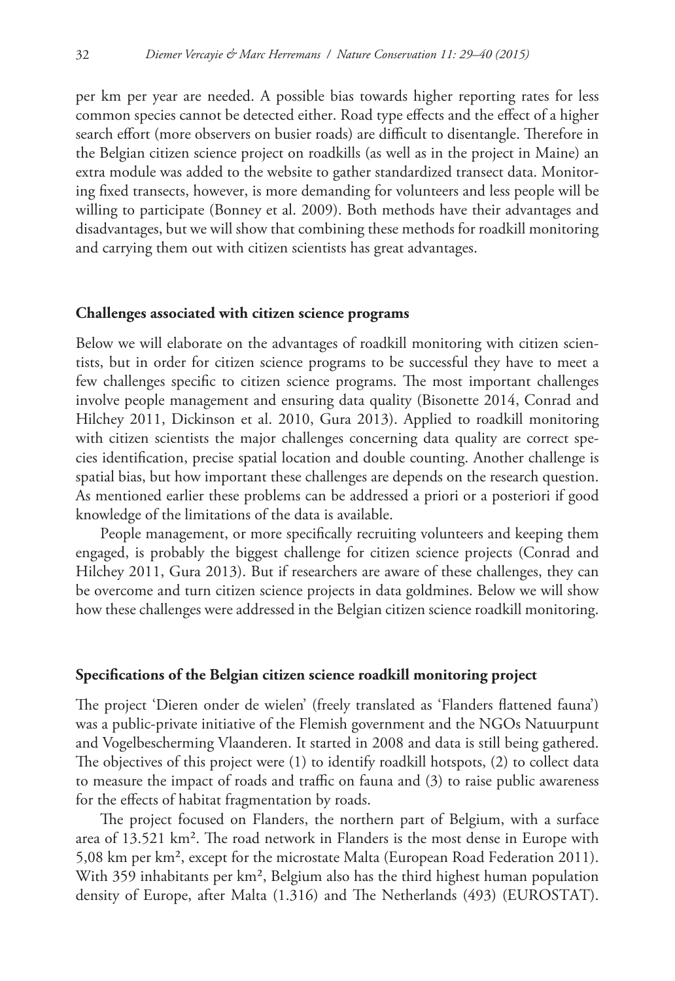per km per year are needed. A possible bias towards higher reporting rates for less common species cannot be detected either. Road type effects and the effect of a higher search effort (more observers on busier roads) are difficult to disentangle. Therefore in the Belgian citizen science project on roadkills (as well as in the project in Maine) an extra module was added to the website to gather standardized transect data. Monitoring fixed transects, however, is more demanding for volunteers and less people will be willing to participate (Bonney et al. 2009). Both methods have their advantages and disadvantages, but we will show that combining these methods for roadkill monitoring and carrying them out with citizen scientists has great advantages.

#### **Challenges associated with citizen science programs**

Below we will elaborate on the advantages of roadkill monitoring with citizen scientists, but in order for citizen science programs to be successful they have to meet a few challenges specific to citizen science programs. The most important challenges involve people management and ensuring data quality (Bisonette 2014, Conrad and Hilchey 2011, Dickinson et al. 2010, Gura 2013). Applied to roadkill monitoring with citizen scientists the major challenges concerning data quality are correct species identification, precise spatial location and double counting. Another challenge is spatial bias, but how important these challenges are depends on the research question. As mentioned earlier these problems can be addressed a priori or a posteriori if good knowledge of the limitations of the data is available.

People management, or more specifically recruiting volunteers and keeping them engaged, is probably the biggest challenge for citizen science projects (Conrad and Hilchey 2011, Gura 2013). But if researchers are aware of these challenges, they can be overcome and turn citizen science projects in data goldmines. Below we will show how these challenges were addressed in the Belgian citizen science roadkill monitoring.

#### **Specifications of the Belgian citizen science roadkill monitoring project**

The project 'Dieren onder de wielen' (freely translated as 'Flanders flattened fauna') was a public-private initiative of the Flemish government and the NGOs Natuurpunt and Vogelbescherming Vlaanderen. It started in 2008 and data is still being gathered. The objectives of this project were (1) to identify roadkill hotspots, (2) to collect data to measure the impact of roads and traffic on fauna and (3) to raise public awareness for the effects of habitat fragmentation by roads.

The project focused on Flanders, the northern part of Belgium, with a surface area of 13.521 km². The road network in Flanders is the most dense in Europe with 5,08 km per km², except for the microstate Malta (European Road Federation 2011). With 359 inhabitants per km<sup>2</sup>, Belgium also has the third highest human population density of Europe, after Malta (1.316) and The Netherlands (493) (EUROSTAT).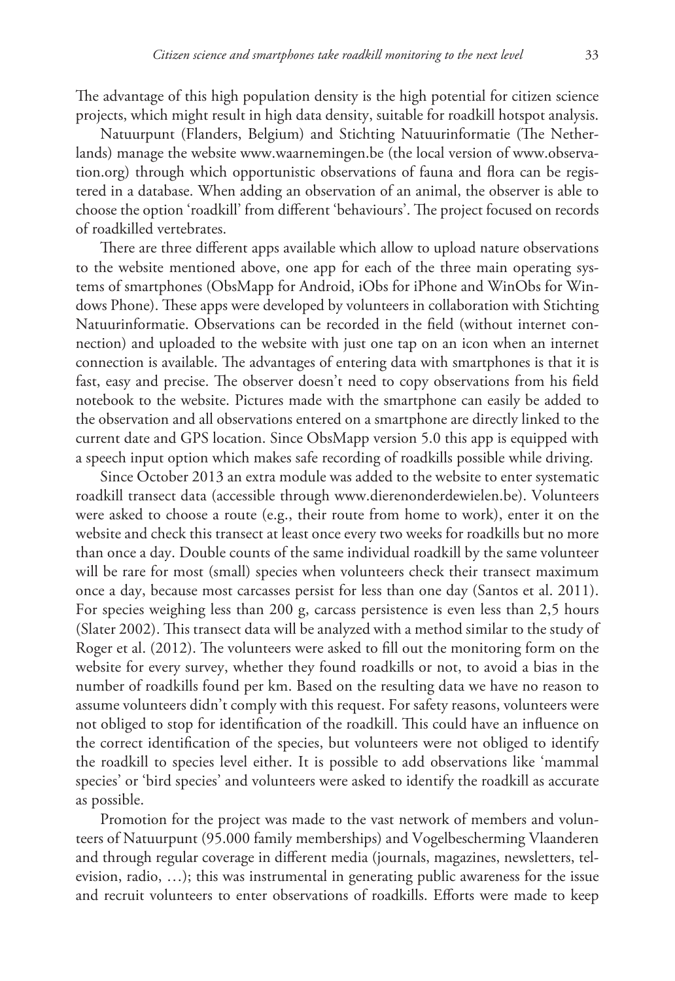The advantage of this high population density is the high potential for citizen science projects, which might result in high data density, suitable for roadkill hotspot analysis.

Natuurpunt (Flanders, Belgium) and Stichting Natuurinformatie (The Netherlands) manage the website [www.waarnemingen.be](http://www.waarnemingen.be) (the local version of [www.observa](http://www.observation.org)[tion.org](http://www.observation.org)) through which opportunistic observations of fauna and flora can be registered in a database. When adding an observation of an animal, the observer is able to choose the option 'roadkill' from different 'behaviours'. The project focused on records of roadkilled vertebrates.

There are three different apps available which allow to upload nature observations to the website mentioned above, one app for each of the three main operating systems of smartphones (ObsMapp for Android, iObs for iPhone and WinObs for Windows Phone). These apps were developed by volunteers in collaboration with Stichting Natuurinformatie. Observations can be recorded in the field (without internet connection) and uploaded to the website with just one tap on an icon when an internet connection is available. The advantages of entering data with smartphones is that it is fast, easy and precise. The observer doesn't need to copy observations from his field notebook to the website. Pictures made with the smartphone can easily be added to the observation and all observations entered on a smartphone are directly linked to the current date and GPS location. Since ObsMapp version 5.0 this app is equipped with a speech input option which makes safe recording of roadkills possible while driving.

Since October 2013 an extra module was added to the website to enter systematic roadkill transect data (accessible through [www.dierenonderdewielen.be\)](http://www.dierenonderdewielen.be). Volunteers were asked to choose a route (e.g., their route from home to work), enter it on the website and check this transect at least once every two weeks for roadkills but no more than once a day. Double counts of the same individual roadkill by the same volunteer will be rare for most (small) species when volunteers check their transect maximum once a day, because most carcasses persist for less than one day (Santos et al. 2011). For species weighing less than 200 g, carcass persistence is even less than 2,5 hours (Slater 2002). This transect data will be analyzed with a method similar to the study of Roger et al. (2012). The volunteers were asked to fill out the monitoring form on the website for every survey, whether they found roadkills or not, to avoid a bias in the number of roadkills found per km. Based on the resulting data we have no reason to assume volunteers didn't comply with this request. For safety reasons, volunteers were not obliged to stop for identification of the roadkill. This could have an influence on the correct identification of the species, but volunteers were not obliged to identify the roadkill to species level either. It is possible to add observations like 'mammal species' or 'bird species' and volunteers were asked to identify the roadkill as accurate as possible.

Promotion for the project was made to the vast network of members and volunteers of Natuurpunt (95.000 family memberships) and Vogelbescherming Vlaanderen and through regular coverage in different media (journals, magazines, newsletters, television, radio, …); this was instrumental in generating public awareness for the issue and recruit volunteers to enter observations of roadkills. Efforts were made to keep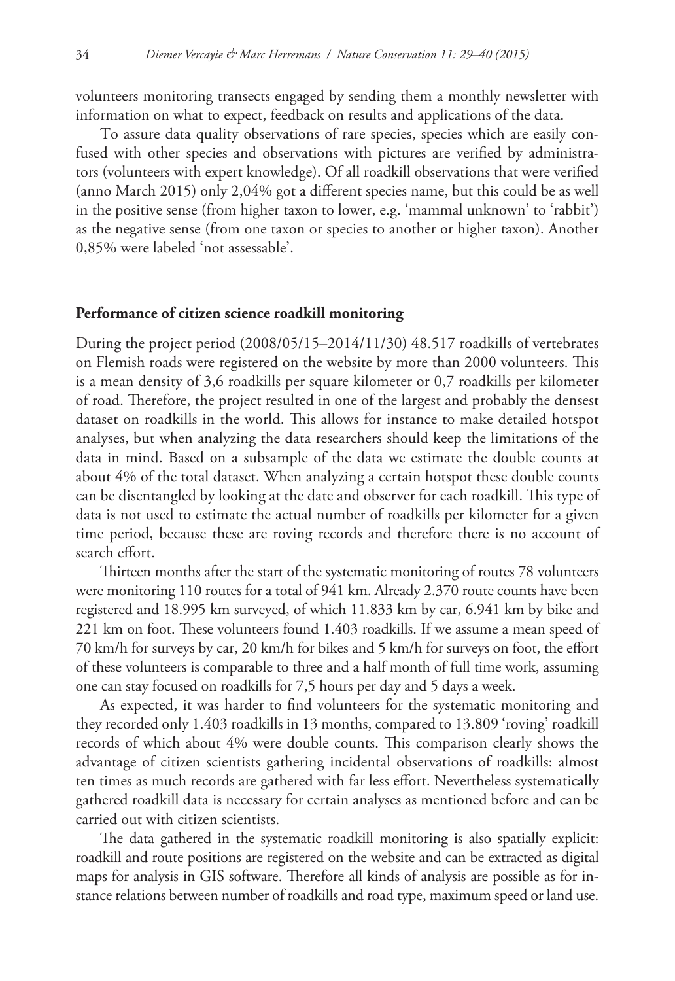volunteers monitoring transects engaged by sending them a monthly newsletter with information on what to expect, feedback on results and applications of the data.

To assure data quality observations of rare species, species which are easily confused with other species and observations with pictures are verified by administrators (volunteers with expert knowledge). Of all roadkill observations that were verified (anno March 2015) only 2,04% got a different species name, but this could be as well in the positive sense (from higher taxon to lower, e.g. 'mammal unknown' to 'rabbit') as the negative sense (from one taxon or species to another or higher taxon). Another 0,85% were labeled 'not assessable'.

#### **Performance of citizen science roadkill monitoring**

During the project period (2008/05/15–2014/11/30) 48.517 roadkills of vertebrates on Flemish roads were registered on the website by more than 2000 volunteers. This is a mean density of 3,6 roadkills per square kilometer or 0,7 roadkills per kilometer of road. Therefore, the project resulted in one of the largest and probably the densest dataset on roadkills in the world. This allows for instance to make detailed hotspot analyses, but when analyzing the data researchers should keep the limitations of the data in mind. Based on a subsample of the data we estimate the double counts at about 4% of the total dataset. When analyzing a certain hotspot these double counts can be disentangled by looking at the date and observer for each roadkill. This type of data is not used to estimate the actual number of roadkills per kilometer for a given time period, because these are roving records and therefore there is no account of search effort.

Thirteen months after the start of the systematic monitoring of routes 78 volunteers were monitoring 110 routes for a total of 941 km. Already 2.370 route counts have been registered and 18.995 km surveyed, of which 11.833 km by car, 6.941 km by bike and 221 km on foot. These volunteers found 1.403 roadkills. If we assume a mean speed of 70 km/h for surveys by car, 20 km/h for bikes and 5 km/h for surveys on foot, the effort of these volunteers is comparable to three and a half month of full time work, assuming one can stay focused on roadkills for 7,5 hours per day and 5 days a week.

As expected, it was harder to find volunteers for the systematic monitoring and they recorded only 1.403 roadkills in 13 months, compared to 13.809 'roving' roadkill records of which about 4% were double counts. This comparison clearly shows the advantage of citizen scientists gathering incidental observations of roadkills: almost ten times as much records are gathered with far less effort. Nevertheless systematically gathered roadkill data is necessary for certain analyses as mentioned before and can be carried out with citizen scientists.

The data gathered in the systematic roadkill monitoring is also spatially explicit: roadkill and route positions are registered on the website and can be extracted as digital maps for analysis in GIS software. Therefore all kinds of analysis are possible as for instance relations between number of roadkills and road type, maximum speed or land use.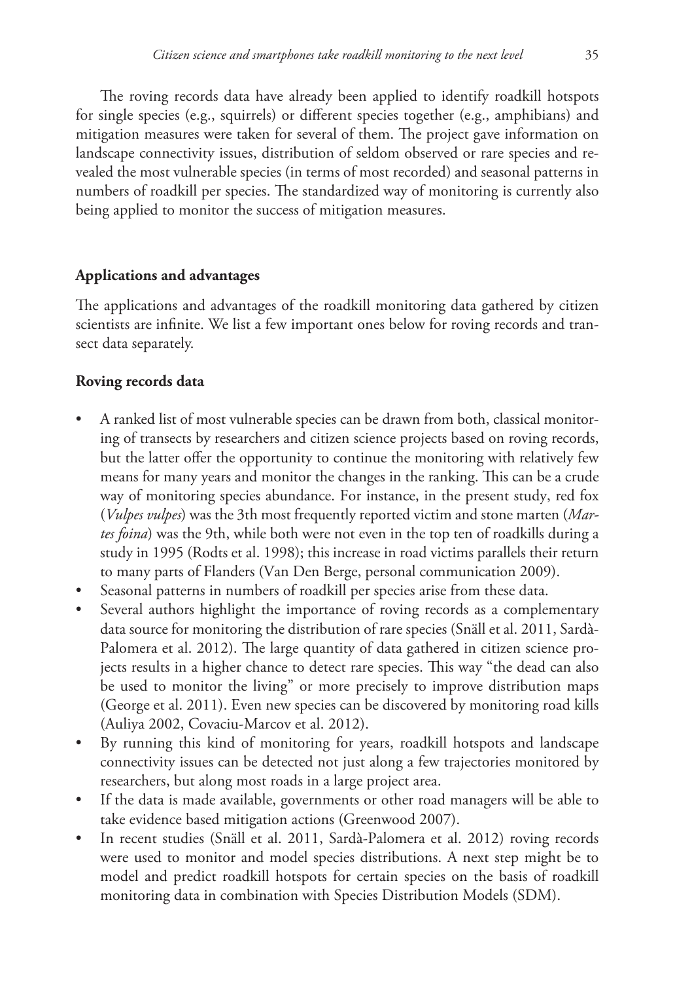The roving records data have already been applied to identify roadkill hotspots for single species (e.g., squirrels) or different species together (e.g., amphibians) and mitigation measures were taken for several of them. The project gave information on landscape connectivity issues, distribution of seldom observed or rare species and revealed the most vulnerable species (in terms of most recorded) and seasonal patterns in numbers of roadkill per species. The standardized way of monitoring is currently also being applied to monitor the success of mitigation measures.

### **Applications and advantages**

The applications and advantages of the roadkill monitoring data gathered by citizen scientists are infinite. We list a few important ones below for roving records and transect data separately.

### **Roving records data**

- A ranked list of most vulnerable species can be drawn from both, classical monitoring of transects by researchers and citizen science projects based on roving records, but the latter offer the opportunity to continue the monitoring with relatively few means for many years and monitor the changes in the ranking. This can be a crude way of monitoring species abundance. For instance, in the present study, red fox (*Vulpes vulpes*) was the 3th most frequently reported victim and stone marten (*Martes foina*) was the 9th, while both were not even in the top ten of roadkills during a study in 1995 (Rodts et al. 1998); this increase in road victims parallels their return to many parts of Flanders (Van Den Berge, personal communication 2009).
- Seasonal patterns in numbers of roadkill per species arise from these data.
- Several authors highlight the importance of roving records as a complementary data source for monitoring the distribution of rare species (Snäll et al. 2011, Sardà-Palomera et al. 2012). The large quantity of data gathered in citizen science projects results in a higher chance to detect rare species. This way "the dead can also be used to monitor the living" or more precisely to improve distribution maps (George et al. 2011). Even new species can be discovered by monitoring road kills (Auliya 2002, Covaciu-Marcov et al. 2012).
- By running this kind of monitoring for years, roadkill hotspots and landscape connectivity issues can be detected not just along a few trajectories monitored by researchers, but along most roads in a large project area.
- If the data is made available, governments or other road managers will be able to take evidence based mitigation actions (Greenwood 2007).
- In recent studies (Snäll et al. 2011, Sardà-Palomera et al. 2012) roving records were used to monitor and model species distributions. A next step might be to model and predict roadkill hotspots for certain species on the basis of roadkill monitoring data in combination with Species Distribution Models (SDM).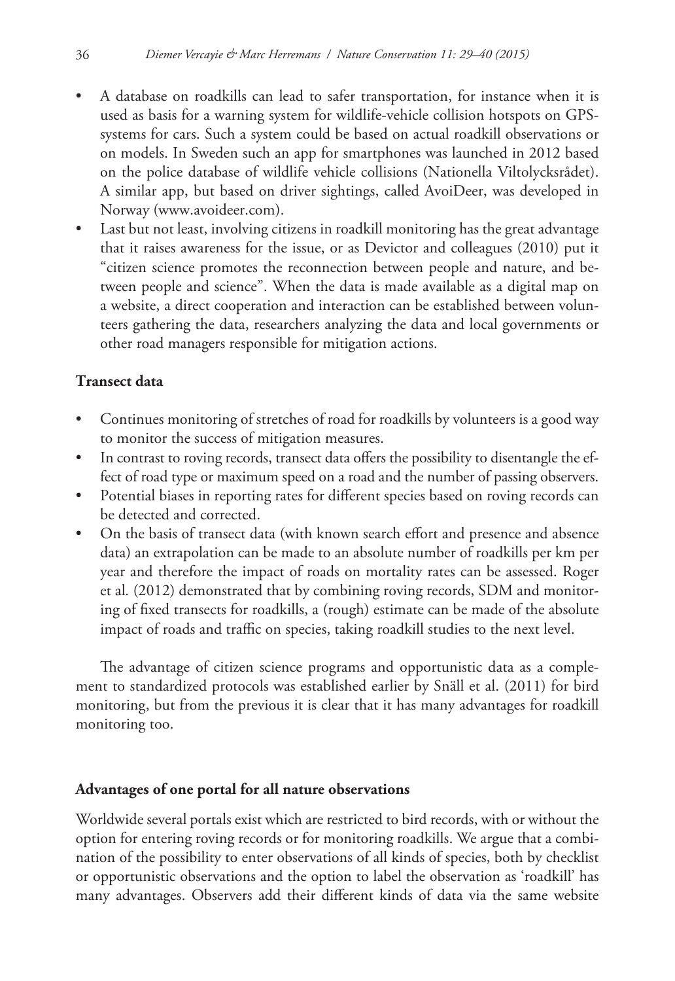- A database on roadkills can lead to safer transportation, for instance when it is used as basis for a warning system for wildlife-vehicle collision hotspots on GPSsystems for cars. Such a system could be based on actual roadkill observations or on models. In Sweden such an app for smartphones was launched in 2012 based on the police database of wildlife vehicle collisions (Nationella Viltolycksrådet). A similar app, but based on driver sightings, called AvoiDeer, was developed in Norway ([www.avoideer.com\)](http://www.avoideer.com).
- Last but not least, involving citizens in roadkill monitoring has the great advantage that it raises awareness for the issue, or as Devictor and colleagues (2010) put it "citizen science promotes the reconnection between people and nature, and between people and science". When the data is made available as a digital map on a website, a direct cooperation and interaction can be established between volunteers gathering the data, researchers analyzing the data and local governments or other road managers responsible for mitigation actions.

# **Transect data**

- Continues monitoring of stretches of road for roadkills by volunteers is a good way to monitor the success of mitigation measures.
- In contrast to roving records, transect data offers the possibility to disentangle the effect of road type or maximum speed on a road and the number of passing observers.
- Potential biases in reporting rates for different species based on roving records can be detected and corrected.
- On the basis of transect data (with known search effort and presence and absence data) an extrapolation can be made to an absolute number of roadkills per km per year and therefore the impact of roads on mortality rates can be assessed. Roger et al*.* (2012) demonstrated that by combining roving records, SDM and monitoring of fixed transects for roadkills, a (rough) estimate can be made of the absolute impact of roads and traffic on species, taking roadkill studies to the next level.

The advantage of citizen science programs and opportunistic data as a complement to standardized protocols was established earlier by Snäll et al. (2011) for bird monitoring, but from the previous it is clear that it has many advantages for roadkill monitoring too.

### **Advantages of one portal for all nature observations**

Worldwide several portals exist which are restricted to bird records, with or without the option for entering roving records or for monitoring roadkills. We argue that a combination of the possibility to enter observations of all kinds of species, both by checklist or opportunistic observations and the option to label the observation as 'roadkill' has many advantages. Observers add their different kinds of data via the same website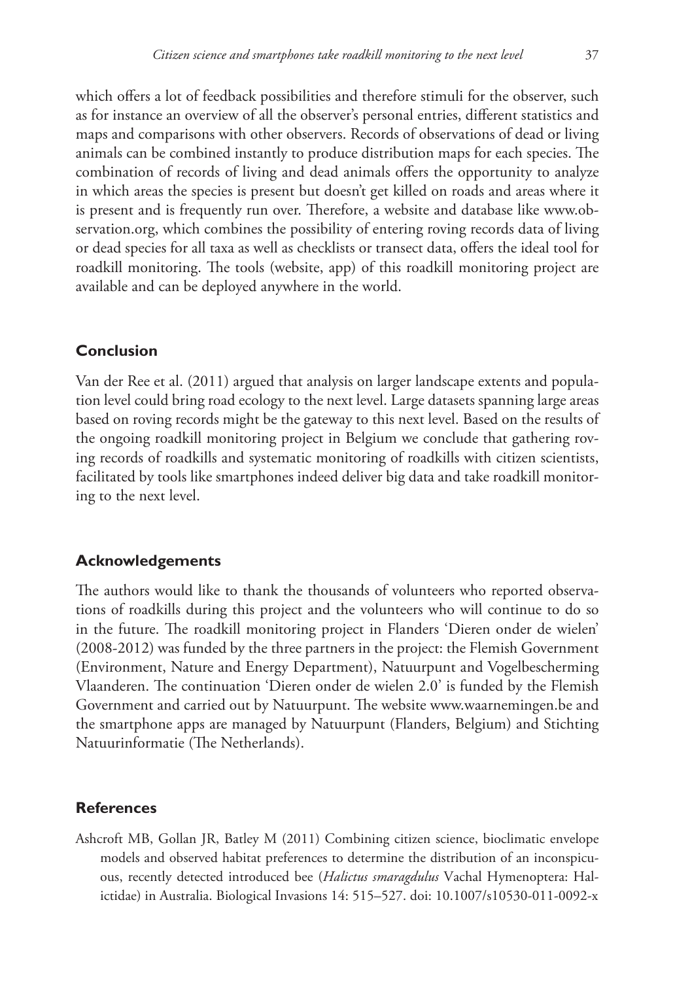which offers a lot of feedback possibilities and therefore stimuli for the observer, such as for instance an overview of all the observer's personal entries, different statistics and maps and comparisons with other observers. Records of observations of dead or living animals can be combined instantly to produce distribution maps for each species. The combination of records of living and dead animals offers the opportunity to analyze in which areas the species is present but doesn't get killed on roads and areas where it is present and is frequently run over. Therefore, a website and database like [www.ob](http://www.observation.org)[servation.org](http://www.observation.org), which combines the possibility of entering roving records data of living or dead species for all taxa as well as checklists or transect data, offers the ideal tool for roadkill monitoring. The tools (website, app) of this roadkill monitoring project are available and can be deployed anywhere in the world.

## **Conclusion**

Van der Ree et al. (2011) argued that analysis on larger landscape extents and population level could bring road ecology to the next level. Large datasets spanning large areas based on roving records might be the gateway to this next level. Based on the results of the ongoing roadkill monitoring project in Belgium we conclude that gathering roving records of roadkills and systematic monitoring of roadkills with citizen scientists, facilitated by tools like smartphones indeed deliver big data and take roadkill monitoring to the next level.

# **Acknowledgements**

The authors would like to thank the thousands of volunteers who reported observations of roadkills during this project and the volunteers who will continue to do so in the future. The roadkill monitoring project in Flanders 'Dieren onder de wielen' (2008-2012) was funded by the three partners in the project: the Flemish Government (Environment, Nature and Energy Department), Natuurpunt and Vogelbescherming Vlaanderen. The continuation 'Dieren onder de wielen 2.0' is funded by the Flemish Government and carried out by Natuurpunt. The website [www.waarnemingen.be](http://www.waarnemingen.be) and the smartphone apps are managed by Natuurpunt (Flanders, Belgium) and Stichting Natuurinformatie (The Netherlands).

# **References**

Ashcroft MB, Gollan JR, Batley M (2011) Combining citizen science, bioclimatic envelope models and observed habitat preferences to determine the distribution of an inconspicuous, recently detected introduced bee (*Halictus smaragdulus* Vachal Hymenoptera: Halictidae) in Australia. Biological Invasions 14: 515–527. [doi: 10.1007/s10530-011-0092-x](http://dx.doi.org/10.1007/s10530-011-0092-x)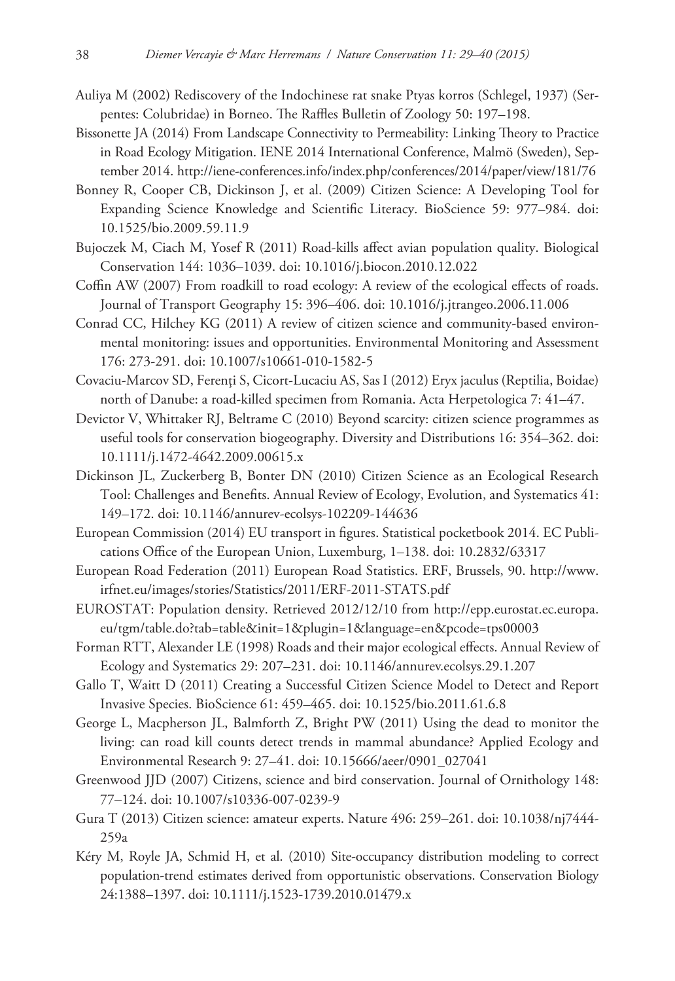- Auliya M (2002) Rediscovery of the Indochinese rat snake Ptyas korros (Schlegel, 1937) (Serpentes: Colubridae) in Borneo. The Raffles Bulletin of Zoology 50: 197–198.
- Bissonette JA (2014) From Landscape Connectivity to Permeability: Linking Theory to Practice in Road Ecology Mitigation. IENE 2014 International Conference, Malmö (Sweden), September 2014. <http://iene-conferences.info/index.php/conferences/2014/paper/view/181/76>
- Bonney R, Cooper CB, Dickinson J, et al. (2009) Citizen Science: A Developing Tool for Expanding Science Knowledge and Scientific Literacy. BioScience 59: 977–984. [doi:](http://dx.doi.org/10.1525/bio.2009.59.11.9) [10.1525/bio.2009.59.11.9](http://dx.doi.org/10.1525/bio.2009.59.11.9)
- Bujoczek M, Ciach M, Yosef R (2011) Road-kills affect avian population quality. Biological Conservation 144: 1036–1039. [doi: 10.1016/j.biocon.2010.12.022](http://dx.doi.org/10.1016/j.biocon.2010.12.022)
- Coffin AW (2007) From roadkill to road ecology: A review of the ecological effects of roads. Journal of Transport Geography 15: 396–406. [doi: 10.1016/j.jtrangeo.2006.11.006](http://dx.doi.org/10.1016/j.jtrangeo.2006.11.006)
- Conrad CC, Hilchey KG (2011) A review of citizen science and community-based environmental monitoring: issues and opportunities. Environmental Monitoring and Assessment 176: 273-291. [doi: 10.1007/s10661-010-1582-5](http://dx.doi.org/10.1007/s10661-010-1582-5)
- Covaciu-Marcov SD, Ferenţi S, Cicort-Lucaciu AS, Sas I (2012) Eryx jaculus (Reptilia, Boidae) north of Danube: a road-killed specimen from Romania. Acta Herpetologica 7: 41–47.
- Devictor V, Whittaker RJ, Beltrame C (2010) Beyond scarcity: citizen science programmes as useful tools for conservation biogeography. Diversity and Distributions 16: 354–362. [doi:](http://dx.doi.org/10.1111/j.1472-4642.2009.00615.x) [10.1111/j.1472-4642.2009.00615.x](http://dx.doi.org/10.1111/j.1472-4642.2009.00615.x)
- Dickinson JL, Zuckerberg B, Bonter DN (2010) Citizen Science as an Ecological Research Tool: Challenges and Benefits. Annual Review of Ecology, Evolution, and Systematics 41: 149–172. [doi: 10.1146/annurev-ecolsys-102209-144636](http://dx.doi.org/10.1146/annurev-ecolsys-102209-144636)
- European Commission (2014) EU transport in figures. Statistical pocketbook 2014. EC Publications Office of the European Union, Luxemburg, 1–138. [doi: 10.2832/63317](http://dx.doi.org/10.2832/63317)
- European Road Federation (2011) European Road Statistics. ERF, Brussels, 90. [http://www.](http://www.irfnet.eu/images/stories/Statistics/2011/ERF-2011-STATS.pdf) [irfnet.eu/images/stories/Statistics/2011/ERF-2011-STATS.pdf](http://www.irfnet.eu/images/stories/Statistics/2011/ERF-2011-STATS.pdf)
- EUROSTAT: Population density. Retrieved 2012/12/10 from [http://epp.eurostat.ec.europa.](http://epp.eurostat.ec.europa.eu/tgm/table.do?tab=table&init=1&plugin=1&language=en&pcode=tps00003) [eu/tgm/table.do?tab=table&init=1&plugin=1&language=en&pcode=tps00003](http://epp.eurostat.ec.europa.eu/tgm/table.do?tab=table&init=1&plugin=1&language=en&pcode=tps00003)
- Forman RTT, Alexander LE (1998) Roads and their major ecological effects. Annual Review of Ecology and Systematics 29: 207–231. [doi: 10.1146/annurev.ecolsys.29.1.207](http://dx.doi.org/10.1146/annurev.ecolsys.29.1.207)
- Gallo T, Waitt D (2011) Creating a Successful Citizen Science Model to Detect and Report Invasive Species. BioScience 61: 459–465. [doi: 10.1525/bio.2011.61.6.8](http://dx.doi.org/10.1525/bio.2011.61.6.8)
- George L, Macpherson JL, Balmforth Z, Bright PW (2011) Using the dead to monitor the living: can road kill counts detect trends in mammal abundance? Applied Ecology and Environmental Research 9: 27–41. [doi: 10.15666/aeer/0901\\_027041](http://dx.doi.org/10.15666/aeer/0901_027041)
- Greenwood JJD (2007) Citizens, science and bird conservation. Journal of Ornithology 148: 77–124. [doi: 10.1007/s10336-007-0239-9](http://dx.doi.org/10.1007/s10336-007-0239-9)
- Gura T (2013) Citizen science: amateur experts. Nature 496: 259–261. [doi: 10.1038/nj7444-](http://dx.doi.org/10.1038/nj7444-259a) [259a](http://dx.doi.org/10.1038/nj7444-259a)
- Kéry M, Royle JA, Schmid H, et al. (2010) Site-occupancy distribution modeling to correct population-trend estimates derived from opportunistic observations. Conservation Biology 24:1388–1397. [doi: 10.1111/j.1523-1739.2010.01479.x](http://dx.doi.org/10.1111/j.1523-1739.2010.01479.x)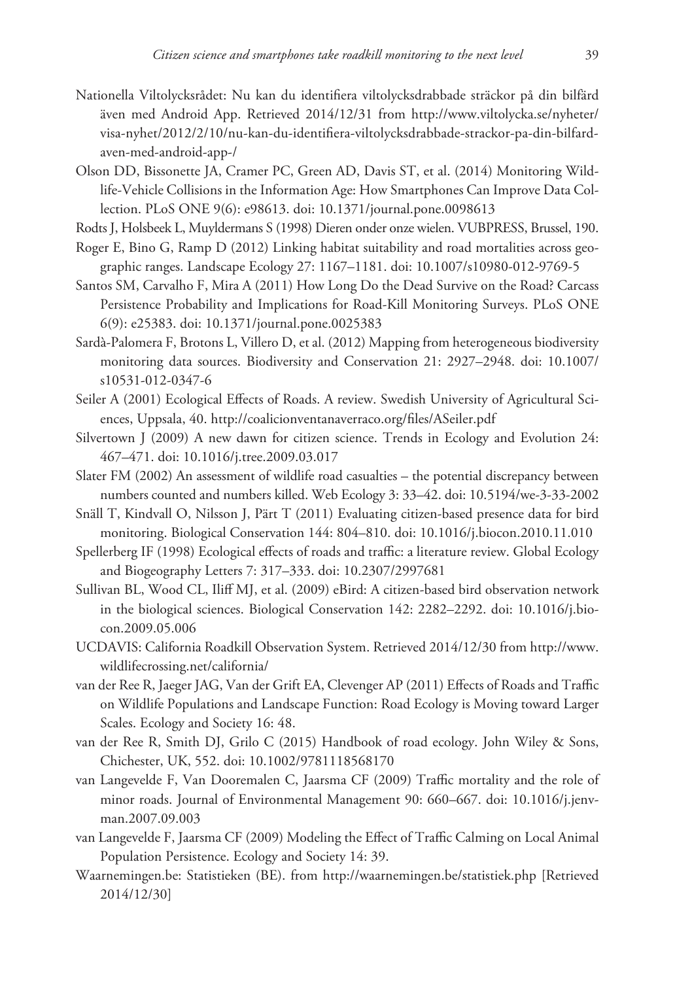- Nationella Viltolycksrådet: Nu kan du identifiera viltolycksdrabbade sträckor på din bilfärd även med Android App. Retrieved 2014/12/31 from [http://www.viltolycka.se/nyheter/](http://www.viltolycka.se/nyheter/visa-nyhet/2012/2/10/nu-kan-du-identifiera-viltolycksdrabbade-strackor-pa-din-bilfard-aven-med-android-app-/) [visa-nyhet/2012/2/10/nu-kan-du-identifiera-viltolycksdrabbade-strackor-pa-din-bilfard](http://www.viltolycka.se/nyheter/visa-nyhet/2012/2/10/nu-kan-du-identifiera-viltolycksdrabbade-strackor-pa-din-bilfard-aven-med-android-app-/)[aven-med-android-app-/](http://www.viltolycka.se/nyheter/visa-nyhet/2012/2/10/nu-kan-du-identifiera-viltolycksdrabbade-strackor-pa-din-bilfard-aven-med-android-app-/)
- Olson DD, Bissonette JA, Cramer PC, Green AD, Davis ST, et al. (2014) Monitoring Wildlife-Vehicle Collisions in the Information Age: How Smartphones Can Improve Data Collection. PLoS ONE 9(6): e98613. [doi: 10.1371/journal.pone.0098613](http://dx.doi.org/10.1371/journal.pone.0098613)
- Rodts J, Holsbeek L, Muyldermans S (1998) Dieren onder onze wielen. VUBPRESS, Brussel, 190.
- Roger E, Bino G, Ramp D (2012) Linking habitat suitability and road mortalities across geographic ranges. Landscape Ecology 27: 1167–1181. [doi: 10.1007/s10980-012-9769-5](http://dx.doi.org/10.1007/s10980-012-9769-5)
- Santos SM, Carvalho F, Mira A (2011) How Long Do the Dead Survive on the Road? Carcass Persistence Probability and Implications for Road-Kill Monitoring Surveys. PLoS ONE 6(9): e25383. [doi: 10.1371/journal.pone.0025383](http://dx.doi.org/10.1371/journal.pone.0025383)
- Sardà-Palomera F, Brotons L, Villero D, et al. (2012) Mapping from heterogeneous biodiversity monitoring data sources. Biodiversity and Conservation 21: 2927–2948. [doi: 10.1007/](http://dx.doi.org/10.1007/s10531-012-0347-6) [s10531-012-0347-6](http://dx.doi.org/10.1007/s10531-012-0347-6)
- Seiler A (2001) Ecological Effects of Roads. A review. Swedish University of Agricultural Sciences, Uppsala, 40.<http://coalicionventanaverraco.org/files/ASeiler.pdf>
- Silvertown J (2009) A new dawn for citizen science. Trends in Ecology and Evolution 24: 467–471. [doi: 10.1016/j.tree.2009.03.017](http://dx.doi.org/10.1016/j.tree.2009.03.017)
- Slater FM (2002) An assessment of wildlife road casualties the potential discrepancy between numbers counted and numbers killed. Web Ecology 3: 33–42. [doi: 10.5194/we-3-33-2002](http://dx.doi.org/10.5194/we-3-33-2002)
- Snäll T, Kindvall O, Nilsson J, Pärt T (2011) Evaluating citizen-based presence data for bird monitoring. Biological Conservation 144: 804–810. [doi: 10.1016/j.biocon.2010.11.010](http://dx.doi.org/10.1016/j.biocon.2010.11.010)
- Spellerberg IF (1998) Ecological effects of roads and traffic: a literature review. Global Ecology and Biogeography Letters 7: 317–333. [doi: 10.2307/2997681](http://dx.doi.org/10.2307/2997681)
- Sullivan BL, Wood CL, Iliff MJ, et al. (2009) eBird: A citizen-based bird observation network in the biological sciences. Biological Conservation 142: 2282–2292. [doi: 10.1016/j.bio](http://dx.doi.org/10.1016/j.biocon.2009.05.006)[con.2009.05.006](http://dx.doi.org/10.1016/j.biocon.2009.05.006)
- UCDAVIS: California Roadkill Observation System. Retrieved 2014/12/30 from [http://www.](http://www.wildlifecrossing.net/california/) [wildlifecrossing.net/california/](http://www.wildlifecrossing.net/california/)
- van der Ree R, Jaeger JAG, Van der Grift EA, Clevenger AP (2011) Effects of Roads and Traffic on Wildlife Populations and Landscape Function: Road Ecology is Moving toward Larger Scales. Ecology and Society 16: 48.
- van der Ree R, Smith DJ, Grilo C (2015) Handbook of road ecology. John Wiley & Sons, Chichester, UK, 552. [doi: 10.1002/9781118568170](http://dx.doi.org/10.1002/9781118568170)
- van Langevelde F, Van Dooremalen C, Jaarsma CF (2009) Traffic mortality and the role of minor roads. Journal of Environmental Management 90: 660–667. [doi: 10.1016/j.jenv](http://dx.doi.org/10.1016/j.jenvman.2007.09.003)[man.2007.09.003](http://dx.doi.org/10.1016/j.jenvman.2007.09.003)
- van Langevelde F, Jaarsma CF (2009) Modeling the Effect of Traffic Calming on Local Animal Population Persistence. Ecology and Society 14: 39.
- Waarnemingen.be: Statistieken (BE). from <http://waarnemingen.be/statistiek.php>[Retrieved 2014/12/30]